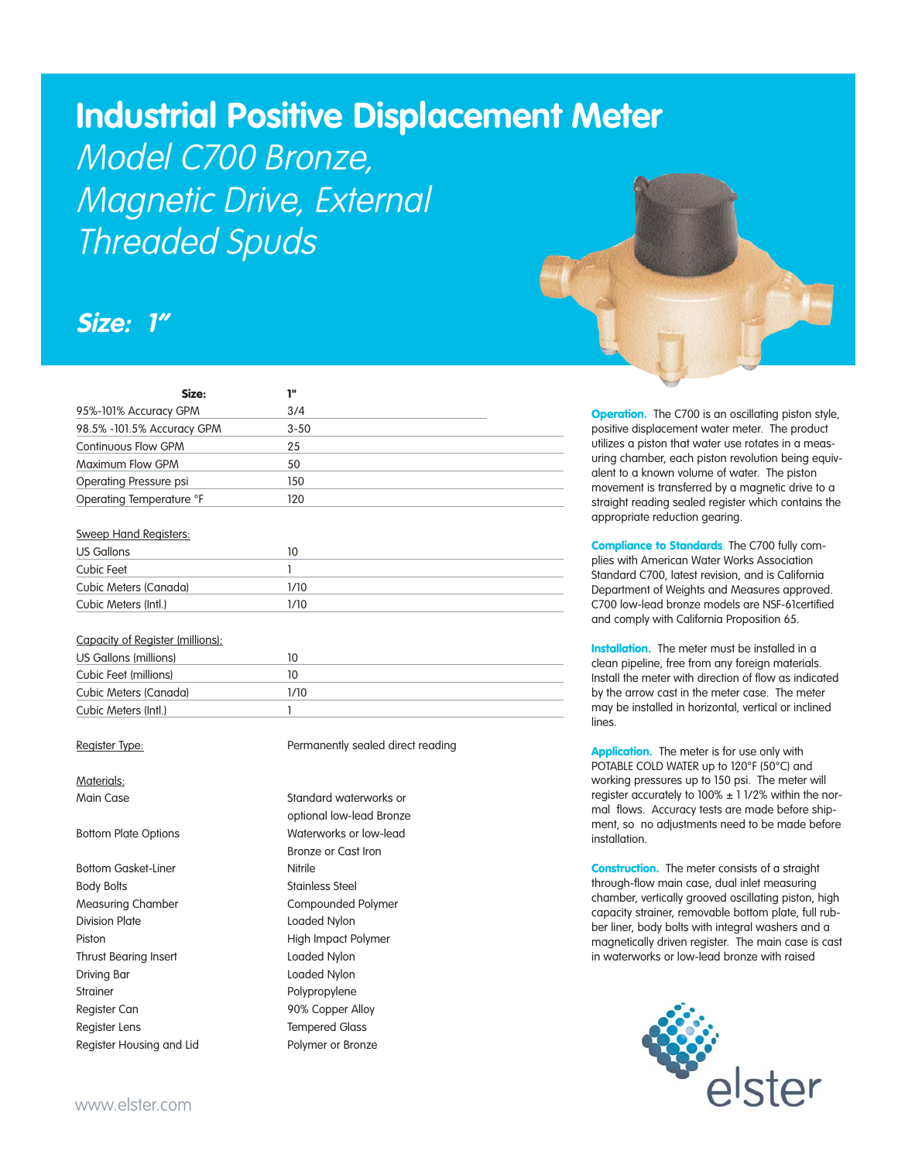# **Industrial Positive Displacement Meter**

Model C700 Bronze, Magnetic Drive, External Threaded Spuds

## **Size: 1"**

| Size:                      | 18       |  |
|----------------------------|----------|--|
| 95%-101% Accuracy GPM      | 3/4      |  |
| 98.5% -101.5% Accuracy GPM | $3 - 50$ |  |
| <b>Continuous Flow GPM</b> | 25       |  |
| Maximum Flow GPM           | 50       |  |
| Operating Pressure psi     | 150      |  |
| Operating Temperature °F   | 120      |  |

#### Sweep Hand Registers:

| US Gallons            |      |  |
|-----------------------|------|--|
| Cubic Feet            |      |  |
| Cubic Meters (Canada) | 1/10 |  |
| Cubic Meters (Intl.)  | 1/10 |  |

#### Capacity of Register (millions):

| US Gallons (millions) |      |  |
|-----------------------|------|--|
| Cubic Feet (millions) |      |  |
| Cubic Meters (Canada) | 1/10 |  |
| Cubic Meters (Intl.)  |      |  |

### Materials:

Bottom Gasket-Liner Nitrile Body Bolts **Stainless** Steel Measuring Chamber **Compounded Polymer** Division Plate **Loaded Nylon** Piston **High Impact Polymer** Thrust Bearing Insert Loaded Nylon Driving Bar Loaded Nylon Strainer Polypropylene Register Can **90% Copper Alloy** Register Lens Tempered Glass Register Housing and Lid Polymer or Bronze

Register Type: Permanently sealed direct reading

Main Case **Standard waterworks** or optional low-lead Bronze Bottom Plate Options Waterworks or low-lead Bronze or Cast Iron



**Operation.** The C700 is an oscillating piston style, positive displacement water meter. The product utilizes a piston that water use rotates in a measuring chamber, each piston revolution being equivalent to a known volume of water. The piston movement is transferred by a magnetic drive to a straight reading sealed register which contains the appropriate reduction gearing.

Compliance to Standards. The C700 fully complies with American Water Works Association Standard C700, latest revision, and is California Department of Weights and Measures approved. C700 low-lead bronze models are NSF-61certified and comply with California Proposition 65.

Installation. The meter must be installed in a clean pipeline, free from any foreign materials. Install the meter with direction of flow as indicated by the arrow cast in the meter case. The meter may be installed in horizontal, vertical or inclined lines.

Application. The meter is for use only with POTABLE COLD WATER up to 120°F (50°C) and working pressures up to 150 psi. The meter will register accurately to  $100\% \pm 11/2\%$  within the normal flows. Accuracy tests are made before shipment, so no adjustments need to be made before **installation** 

Construction. The meter consists of a straight through-flow main case, dual inlet measuring chamber, vertically grooved oscillating piston, high capacity strainer, removable bottom plate, full rubber liner, body bolts with integral washers and a magnetically driven register. The main case is cast in waterworks or low-lead bronze with raised